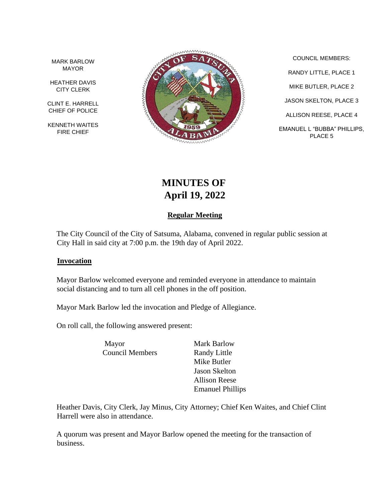MARK BARLOW MAYOR

HEATHER DAVIS CITY CLERK

CLINT E. HARRELL CHIEF OF POLICE

KENNETH WAITES FIRE CHIEF



COUNCIL MEMBERS: RANDY LITTLE, PLACE 1 MIKE BUTLER, PLACE 2 JASON SKELTON, PLACE 3 ALLISON REESE, PLACE 4 EMANUEL L "BUBBA" PHILLIPS, PLACE 5

# **MINUTES OF April 19, 2022**

## **Regular Meeting**

The City Council of the City of Satsuma, Alabama, convened in regular public session at City Hall in said city at 7:00 p.m. the 19th day of April 2022.

#### **Invocation**

Mayor Barlow welcomed everyone and reminded everyone in attendance to maintain social distancing and to turn all cell phones in the off position.

Mayor Mark Barlow led the invocation and Pledge of Allegiance.

On roll call, the following answered present:

Mayor Mark Barlow Council Members Randy Little

Mike Butler Jason Skelton Allison Reese Emanuel Phillips

Heather Davis, City Clerk, Jay Minus, City Attorney; Chief Ken Waites, and Chief Clint Harrell were also in attendance.

A quorum was present and Mayor Barlow opened the meeting for the transaction of business.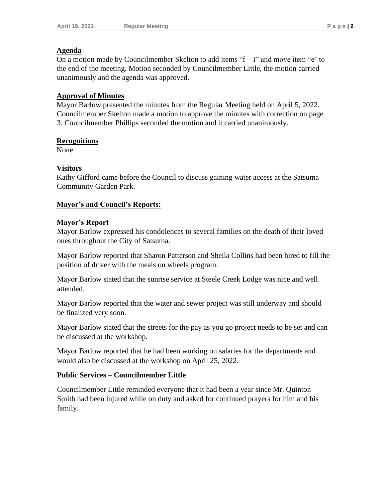## **Agenda**

On a motion made by Councilmember Skelton to add items " $f - I$ " and move item "e' to the end of the meeting. Motion seconded by Councilmember Little, the motion carried unanimously and the agenda was approved.

## **Approval of Minutes**

Mayor Barlow presented the minutes from the Regular Meeting held on April 5, 2022. Councilmember Skelton made a motion to approve the minutes with correction on page 3. Councilmember Phillips seconded the motion and it carried unanimously.

## **Recognitions**

None

## **Visitors**

Kathy Gifford came before the Council to discuss gaining water access at the Satsuma Community Garden Park.

## **Mayor's and Council's Reports:**

## **Mayor's Report**

Mayor Barlow expressed his condolences to several families on the death of their loved ones throughout the City of Satsuma.

Mayor Barlow reported that Sharon Patterson and Sheila Collins had been hired to fill the position of driver with the meals on wheels program.

Mayor Barlow stated that the sunrise service at Steele Creek Lodge was nice and well attended.

Mayor Barlow reported that the water and sewer project was still underway and should be finalized very soon.

Mayor Barlow stated that the streets for the pay as you go project needs to be set and can be discussed at the workshop.

Mayor Barlow reported that he had been working on salaries for the departments and would also be discussed at the workshop on April 25, 2022.

## **Public Services – Councilmember Little**

Councilmember Little reminded everyone that it had been a year since Mr. Quinton Smith had been injured while on duty and asked for continued prayers for him and his family.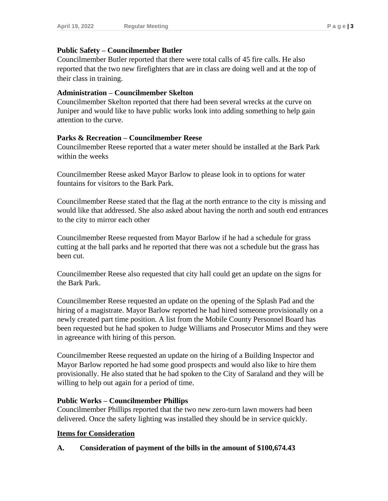#### **Public Safety – Councilmember Butler**

Councilmember Butler reported that there were total calls of 45 fire calls. He also reported that the two new firefighters that are in class are doing well and at the top of their class in training.

#### **Administration – Councilmember Skelton**

Councilmember Skelton reported that there had been several wrecks at the curve on Juniper and would like to have public works look into adding something to help gain attention to the curve.

#### **Parks & Recreation – Councilmember Reese**

Councilmember Reese reported that a water meter should be installed at the Bark Park within the weeks

Councilmember Reese asked Mayor Barlow to please look in to options for water fountains for visitors to the Bark Park.

Councilmember Reese stated that the flag at the north entrance to the city is missing and would like that addressed. She also asked about having the north and south end entrances to the city to mirror each other

Councilmember Reese requested from Mayor Barlow if he had a schedule for grass cutting at the ball parks and he reported that there was not a schedule but the grass has been cut.

Councilmember Reese also requested that city hall could get an update on the signs for the Bark Park.

Councilmember Reese requested an update on the opening of the Splash Pad and the hiring of a magistrate. Mayor Barlow reported he had hired someone provisionally on a newly created part time position. A list from the Mobile County Personnel Board has been requested but he had spoken to Judge Williams and Prosecutor Mims and they were in agreeance with hiring of this person.

Councilmember Reese requested an update on the hiring of a Building Inspector and Mayor Barlow reported he had some good prospects and would also like to hire them provisionally. He also stated that he had spoken to the City of Saraland and they will be willing to help out again for a period of time.

## **Public Works – Councilmember Phillips**

Councilmember Phillips reported that the two new zero-turn lawn mowers had been delivered. Once the safety lighting was installed they should be in service quickly.

## **Items for Consideration**

## **A. Consideration of payment of the bills in the amount of \$100,674.43**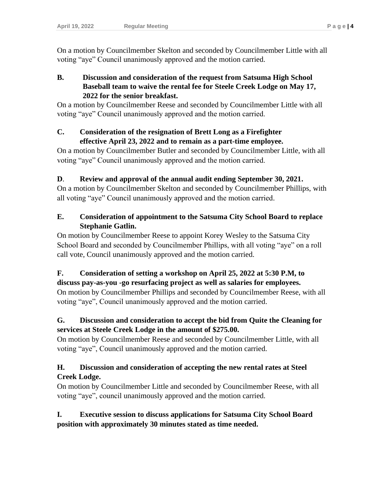On a motion by Councilmember Skelton and seconded by Councilmember Little with all voting "aye" Council unanimously approved and the motion carried.

#### **B. Discussion and consideration of the request from Satsuma High School Baseball team to waive the rental fee for Steele Creek Lodge on May 17, 2022 for the senior breakfast.**

On a motion by Councilmember Reese and seconded by Councilmember Little with all voting "aye" Council unanimously approved and the motion carried.

## **C. Consideration of the resignation of Brett Long as a Firefighter effective April 23, 2022 and to remain as a part-time employee.**

On a motion by Councilmember Butler and seconded by Councilmember Little, with all voting "aye" Council unanimously approved and the motion carried.

# **D**. **Review and approval of the annual audit ending September 30, 2021.**

On a motion by Councilmember Skelton and seconded by Councilmember Phillips, with all voting "aye" Council unanimously approved and the motion carried.

# **E. Consideration of appointment to the Satsuma City School Board to replace Stephanie Gatlin.**

On motion by Councilmember Reese to appoint Korey Wesley to the Satsuma City School Board and seconded by Councilmember Phillips, with all voting "aye" on a roll call vote, Council unanimously approved and the motion carried.

#### **F. Consideration of setting a workshop on April 25, 2022 at 5:30 P.M, to discuss pay-as-you -go resurfacing project as well as salaries for employees.**

On motion by Councilmember Phillips and seconded by Councilmember Reese, with all voting "aye", Council unanimously approved and the motion carried.

# **G. Discussion and consideration to accept the bid from Quite the Cleaning for services at Steele Creek Lodge in the amount of \$275.00.**

On motion by Councilmember Reese and seconded by Councilmember Little, with all voting "aye", Council unanimously approved and the motion carried.

# **H. Discussion and consideration of accepting the new rental rates at Steel Creek Lodge.**

On motion by Councilmember Little and seconded by Councilmember Reese, with all voting "aye", council unanimously approved and the motion carried.

# **I. Executive session to discuss applications for Satsuma City School Board position with approximately 30 minutes stated as time needed.**